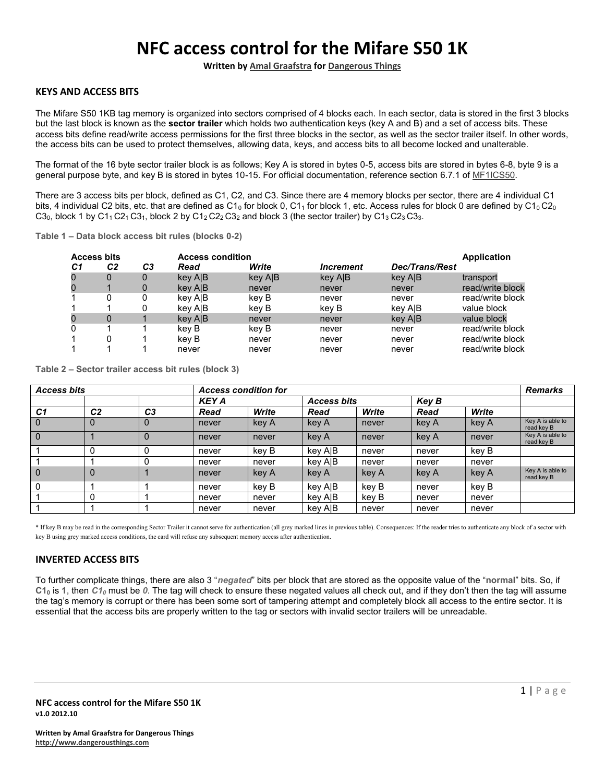# **NFC access control for the Mifare S50 1K**

**Written by Amal Graafstra for Dangerous Things**

# **KEYS AND ACCESS BITS**

The Mifare S50 1KB tag memory is organized into sectors comprised of 4 blocks each. In each sector, data is stored in the first 3 blocks but the last block is known as the **sector trailer** which holds two authentication keys (key A and B) and a set of access bits. These access bits define read/write access permissions for the first three blocks in the sector, as well as the sector trailer itself. In other words, the access bits can be used to protect themselves, allowing data, keys, and access bits to all become locked and unalterable.

The format of the 16 byte sector trailer block is as follows; Key A is stored in bytes 0-5, access bits are stored in bytes 6-8, byte 9 is a general purpose byte, and key B is stored in bytes 10-15. For official documentation, reference section 6.7.1 of MF1ICS50.

There are 3 access bits per block, defined as C1, C2, and C3. Since there are 4 memory blocks per sector, there are 4 individual C1 bits, 4 individual C2 bits, etc. that are defined as C1<sub>0</sub> for block 0, C1<sub>1</sub> for block 1, etc. Access rules for block 0 are defined by C1<sub>0</sub> C2<sub>0</sub> C3<sub>0</sub>, block 1 by C1<sub>1</sub> C2<sub>1</sub> C3<sub>1</sub>, block 2 by C1<sub>2</sub> C2<sub>2</sub> C3<sub>2</sub> and block 3 (the sector trailer) by C1<sub>3</sub> C2<sub>3</sub> C3<sub>3</sub>.

**Table 1 – Data block access bit rules (blocks 0-2)** 

|    | <b>Access bits</b> |    |         | <b>Access condition</b><br><b>Application</b> |                                |                       |                  |  |  |  |  |
|----|--------------------|----|---------|-----------------------------------------------|--------------------------------|-----------------------|------------------|--|--|--|--|
| C1 | C <sub>2</sub>     | C3 | Read    | Write                                         | <i><u><b>Increment</b></u></i> | <b>Dec/Trans/Rest</b> |                  |  |  |  |  |
|    | $\Omega$           | 0  | key AIB | key AIB                                       | key A B                        | key AIB               | transport        |  |  |  |  |
|    |                    | 0  | key AIB | never                                         | never                          | never                 | read/write block |  |  |  |  |
|    | 0                  | 0  | key AIB | kev B                                         | never                          | never                 | read/write block |  |  |  |  |
|    |                    |    | key AIB | kev B                                         | kev B                          | key AIB               | value block      |  |  |  |  |
|    | 0                  |    | key AIB | never                                         | never                          | key AIB               | value block      |  |  |  |  |
| 0  |                    |    | kev B   | kev B                                         | never                          | never                 | read/write block |  |  |  |  |
|    | 0                  |    | kev B   | never                                         | never                          | never                 | read/write block |  |  |  |  |
|    |                    |    | never   | never                                         | never                          | never                 | read/write block |  |  |  |  |

**Table 2 – Sector trailer access bit rules (block 3)** 

| <b>Access bits</b> |                |                |       | <b>Access condition for</b> |                    |       |       |       |                                |  |  |
|--------------------|----------------|----------------|-------|-----------------------------|--------------------|-------|-------|-------|--------------------------------|--|--|
|                    |                | <b>KEY A</b>   |       |                             | <b>Access bits</b> |       | Key B |       |                                |  |  |
| C1                 | C <sub>2</sub> | C <sub>3</sub> | Read  | Write                       | Read               | Write | Read  | Write |                                |  |  |
| $\Omega$           | 0              | 0              | never | key A                       | key A              | never | key A | key A | Key A is able to<br>read key B |  |  |
| $\Omega$           |                |                | never | never                       | key A              | never | key A | never | Key A is able to<br>read key B |  |  |
|                    | 0              |                | never | key B                       | key AIB            | never | never | key B |                                |  |  |
|                    |                |                | never | never                       | key AIB            | never | never | never |                                |  |  |
| $\Omega$           | 0              |                | never | key A                       | key A              | key A | key A | key A | Key A is able to<br>read key B |  |  |
| 0                  |                |                | never | key B                       | key AIB            | kev B | never | key B |                                |  |  |
|                    | 0              |                | never | never                       | key AIB            | kev B | never | never |                                |  |  |
|                    |                |                | never | never                       | key A B            | never | never | never |                                |  |  |

\* If key B may be read in the corresponding Sector Trailer it cannot serve for authentication (all grey marked lines in previous table). Consequences: If the reader tries to authenticate any block of a sector with key B using grey marked access conditions, the card will refuse any subsequent memory access after authentication.

## **INVERTED ACCESS BITS**

To further complicate things, there are also 3 "*negated*" bits per block that are stored as the opposite value of the "**normal**" bits. So, if  $C1<sub>0</sub>$  is 1, then  $C1<sub>0</sub>$  must be 0. The tag will check to ensure these negated values all check out, and if they don't then the tag will assume the tag's memory is corrupt or there has been some sort of tampering attempt and completely block all access to the entire sector. It is essential that the access bits are properly written to the tag or sectors with invalid sector trailers will be unreadable.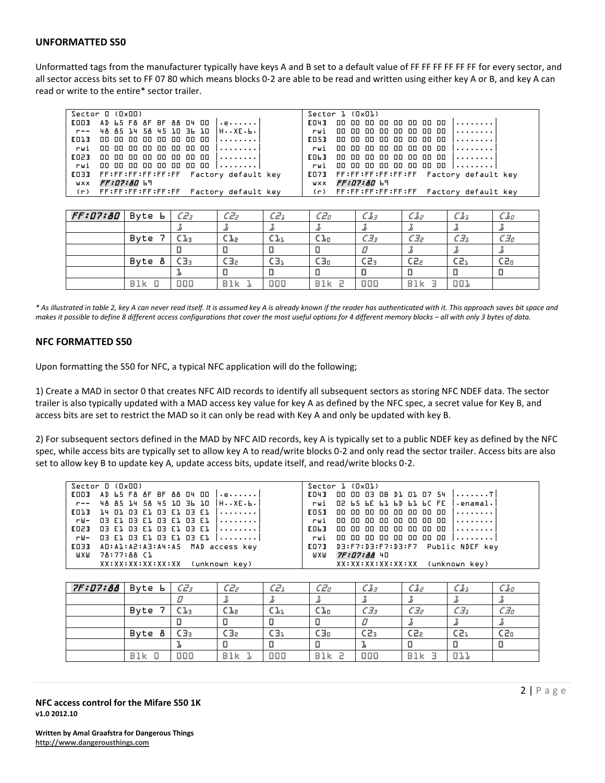#### **UNFORMATTED S50**

Unformatted tags from the manufacturer typically have keys A and B set to a default value of FF FF FF FF FF FF for every sector, and all sector access bits set to FF 07 80 which means blocks 0-2 are able to be read and written using either key A or B, and key A can read or write to the entire\* sector trailer.

| Sector 0 (0x00)                                                 | Sector 1 (OxO1)                            |
|-----------------------------------------------------------------|--------------------------------------------|
| $[001 \t A D 65 F8 8F 8F 88 04 00 ]]$                           | [04] 00 00 00 00 00 00 00 00 00            |
| r--  48 85 14 58 45 18 36 18  HXE.6.                            | rwi 00 00 00 00 00 00 00 00                |
| $[0]$ $[0]$ $[0]$ $[0]$ $[0]$ $[0]$ $[0]$ $[0]$ $[0]$ $[0]$ $[$ |                                            |
| rwi 00 00 00 00 00 00 00 00                                     | rwi 00 00 00 00 00 00 00 00                |
|                                                                 |                                            |
| rwi 00 00 00 00 00 00 00 00                                     | rwi 00 00 00 00 00 00 00 00                |
| LO3J FF:FF:FF:FF:FF:FF Factory default key                      | [07] FF:FF:FF:FF:FF:FF Factory default key |
| WXX FF:07:80 69                                                 | WXX FF:07:80 69                            |
| (r) FF:FF:FF:FF:FF:FF Factory default key                       | (r) FF:FF:FF:FF:FF:FF Factory default key  |
|                                                                 |                                            |

| $FF:07:80$ Byte L |            | $CZ_3$ | $CZ$ <sub>2</sub> | $CZ_2$ | CZ <sub>0</sub> | $CL_3$          | $CL_2$     | $\mathcal{C} \mathcal{I}_\mathcal{I}$ | $\overline{\mathcal{L}I_{\mathcal{Q}}}$ |
|-------------------|------------|--------|-------------------|--------|-----------------|-----------------|------------|---------------------------------------|-----------------------------------------|
|                   |            |        |                   |        |                 |                 |            |                                       |                                         |
|                   | Byte       | Cla    | Cl <sub>2</sub>   | C1ı    | Clo             | СЭэ             | СЭг        | СЭ1                                   | СЭо                                     |
|                   |            |        |                   |        |                 |                 |            |                                       |                                         |
|                   | Bvte<br>8  | $C_3$  | $C_2$             | C3ı    | С∃о             | C2 <sub>3</sub> | C2a        | C <sub>2</sub>                        | C2o                                     |
|                   |            |        |                   |        |                 |                 |            |                                       |                                         |
|                   | <b>Blk</b> | 000    | <b>Blk</b>        |        | <b>B1k</b>      | 000             | <b>B1k</b> | 001                                   |                                         |

*\* As illustrated in table 2, key A can never read itself. It is assumed key A is already known if the reader has authenticated with it. This approach saves bit space and makes it possible to define 8 different access configurations that cover the most useful options for 4 different memory blocks – all with only 3 bytes of data.* 

#### **NFC FORMATTED S50**

Upon formatting the S50 for NFC, a typical NFC application will do the following;

1) Create a MAD in sector 0 that creates NFC AID records to identify all subsequent sectors as storing NFC NDEF data. The sector trailer is also typically updated with a MAD access key value for key A as defined by the NFC spec, a secret value for Key B, and access bits are set to restrict the MAD so it can only be read with Key A and only be updated with key B.

2) For subsequent sectors defined in the MAD by NFC AID records, key A is typically set to a public NDEF key as defined by the NFC spec, while access bits are typically set to allow key A to read/write blocks 0-2 and only read the sector trailer. Access bits are also set to allow key B to update key A, update access bits, update itself, and read/write blocks 0-2.

| Sector 0 (0x00)                                                                                                                                                                                                               | Sector 1 (OxO1)                          |
|-------------------------------------------------------------------------------------------------------------------------------------------------------------------------------------------------------------------------------|------------------------------------------|
| $E00J$ AD 65 F& &F BF && O4 OO $  .e  $                                                                                                                                                                                       | 00 00 03 08 D1 01 07 54  T <br>EO4J      |
| r--  48 85 14 58 45 18 36 18  HXE.6.                                                                                                                                                                                          | rwi O2 65 6E 61 6D 61 6C FE   enamal.    |
| $[0]$ $[0]$ $[1]$ $[0]$ $[0]$ $[0]$ $[0]$ $[0]$ $[0]$ $[0]$ $[0]$ $[0]$ $[0]$ $[0]$ $[0]$ $[0]$ $[0]$ $[0]$ $[0]$ $[0]$ $[0]$ $[0]$ $[0]$ $[0]$ $[0]$ $[0]$ $[0]$ $[0]$ $[0]$ $[0]$ $[0]$ $[0]$ $[0]$ $[0]$ $[0]$ $[0]$ $[0]$ | 00 00 00 00 00 00 00 00 $ $<br>CO 5 J    |
| rW- 03 El 03 El 03 El 03 El                                                                                                                                                                                                   | 00 00 00 00 00 00 00 00  <br>rwi         |
| 03 E1 03 E1 03 E1 03 E1   <br>rnam                                                                                                                                                                                            | 00 00 00 00 00 00 00 00 1<br><b>EOLI</b> |
| rW- 03 El 03 El 03 El 03 El                                                                                                                                                                                                   | rwi 00 00 00 00 00 00 00 00              |
| LOBO AO:AL:A2:A3:A4:A5 MAD access key                                                                                                                                                                                         | LO7] D3:F7:D3:F7:D3:F7 Public NDEF key   |
| 78:77:88 Cl<br>WХW                                                                                                                                                                                                            | 7F:07:88 40<br>WXW                       |
| XX:XX:XX:XX:XX:XX (unknown key)                                                                                                                                                                                               | XX:XX:XX:XX:XX:XX (unknown key)          |
|                                                                                                                                                                                                                               |                                          |

| 7F:07:88 | Byte L     | $CZ_3$ | C2z           | $CZ_1$          | CZ <sub>D</sub> | CL <sub>3</sub> | CL <sub>z</sub>    | $CL_1$         | CL <sub>0</sub> |
|----------|------------|--------|---------------|-----------------|-----------------|-----------------|--------------------|----------------|-----------------|
|          |            |        |               |                 |                 |                 |                    |                |                 |
|          | Byte       | Clз    | Cla           | CL <sub>1</sub> | CL <sub>0</sub> | CJ <sub>3</sub> | $C$ $\overline{J}$ | $C_2$          | $C$ $J0$        |
|          |            |        |               | о               |                 |                 |                    |                |                 |
|          | Byte<br>Ő  | $C_3$  | $\epsilon$ 3a | $C_3$           | $C_3$           | C2 <sub>3</sub> | C2 <sub>2</sub>    | C <sub>1</sub> | C2o             |
|          |            |        |               |                 |                 |                 |                    |                |                 |
|          | <b>B1k</b> | 000    | <b>Blk</b>    | 000             | B1k<br>∍        | 000             | <b>B1k</b>         | 011            |                 |